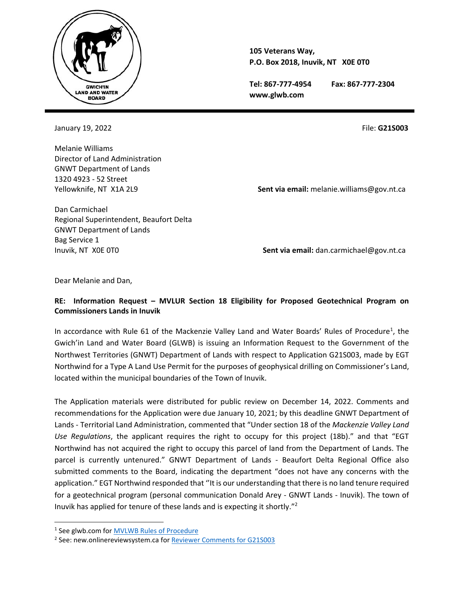

**105 Veterans Way, P.O. Box 2018, Inuvik, NT X0E 0T0**

**Tel: 867-777-4954 Fax: 867-777-2304 www.glwb.com**

January 19, 2022 **File: G21S003** File: **G21S003** 

Melanie Williams Director of Land Administration GNWT Department of Lands 1320 4923 - 52 Street

Yellowknife, NT X1A 2L9 **Sent via email:** melanie.williams@gov.nt.ca

Dan Carmichael Regional Superintendent, Beaufort Delta GNWT Department of Lands Bag Service 1

Inuvik, NT X0E 0T0 **Sent via email:** dan.carmichael@gov.nt.ca

Dear Melanie and Dan,

## **RE: Information Request – MVLUR Section 18 Eligibility for Proposed Geotechnical Program on Commissioners Lands in Inuvik**

In accordance with Rule 61 of the Mackenzie Valley Land and Water Boards' Rules of Procedure<sup>1</sup>, the Gwich'in Land and Water Board (GLWB) is issuing an Information Request to the Government of the Northwest Territories (GNWT) Department of Lands with respect to Application G21S003, made by EGT Northwind for a Type A Land Use Permit for the purposes of geophysical drilling on Commissioner's Land, located within the municipal boundaries of the Town of Inuvik.

The Application materials were distributed for public review on December 14, 2022. Comments and recommendations for the Application were due January 10, 2021; by this deadline GNWT Department of Lands - Territorial Land Administration, commented that "Under section 18 of the *Mackenzie Valley Land Use Regulations*, the applicant requires the right to occupy for this project (18b)." and that "EGT Northwind has not acquired the right to occupy this parcel of land from the Department of Lands. The parcel is currently untenured." GNWT Department of Lands - Beaufort Delta Regional Office also submitted comments to the Board, indicating the department "does not have any concerns with the application." EGT Northwind responded that ''It is our understanding that there is no land tenure required for a geotechnical program (personal communication Donald Arey - GNWT Lands - Inuvik). The town of Inuvik has applied for tenure of these lands and is expecting it shortly."<sup>2</sup>

<sup>&</sup>lt;sup>1</sup> See glwb.com for <u>MVLWB Rules of Procedure</u>

<sup>&</sup>lt;sup>2</sup> See: new.onlinereviewsystem.ca for **Reviewer Comments for G21S003**